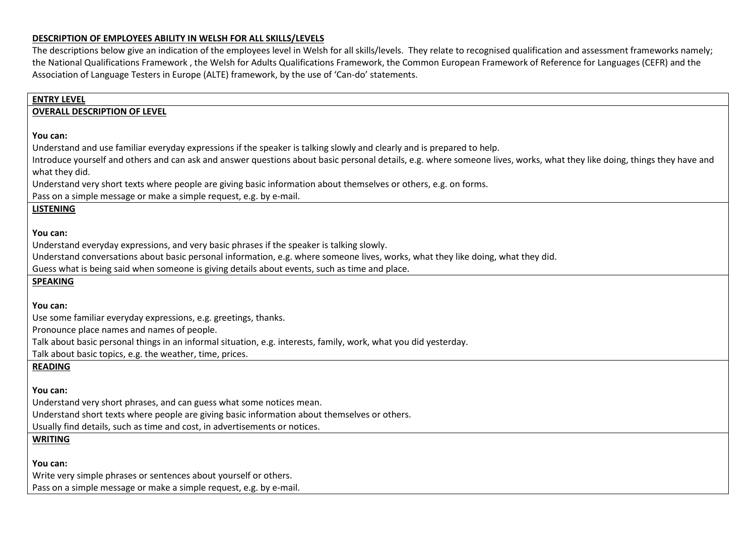## **DESCRIPTION OF EMPLOYEES ABILITY IN WELSH FOR ALL SKILLS/LEVELS**

The descriptions below give an indication of the employees level in Welsh for all skills/levels. They relate to recognised qualification and assessment frameworks namely; the National Qualifications Framework , the Welsh for Adults Qualifications Framework, the Common European Framework of Reference for Languages (CEFR) and the Association of Language Testers in Europe (ALTE) framework, by the use of 'Can-do' statements.

| <b>ENTRY LEVEL</b>                                                                                                                                                       |
|--------------------------------------------------------------------------------------------------------------------------------------------------------------------------|
| <b>OVERALL DESCRIPTION OF LEVEL</b>                                                                                                                                      |
|                                                                                                                                                                          |
| You can:                                                                                                                                                                 |
| Understand and use familiar everyday expressions if the speaker is talking slowly and clearly and is prepared to help.                                                   |
| Introduce yourself and others and can ask and answer questions about basic personal details, e.g. where someone lives, works, what they like doing, things they have and |
| what they did.                                                                                                                                                           |
| Understand very short texts where people are giving basic information about themselves or others, e.g. on forms.                                                         |
| Pass on a simple message or make a simple request, e.g. by e-mail.                                                                                                       |
| <b>LISTENING</b>                                                                                                                                                         |
| You can:                                                                                                                                                                 |
| Understand everyday expressions, and very basic phrases if the speaker is talking slowly.                                                                                |
| Understand conversations about basic personal information, e.g. where someone lives, works, what they like doing, what they did.                                         |
| Guess what is being said when someone is giving details about events, such as time and place.                                                                            |
| <b>SPEAKING</b>                                                                                                                                                          |
| You can:                                                                                                                                                                 |
| Use some familiar everyday expressions, e.g. greetings, thanks.                                                                                                          |
| Pronounce place names and names of people.                                                                                                                               |
| Talk about basic personal things in an informal situation, e.g. interests, family, work, what you did yesterday.                                                         |
| Talk about basic topics, e.g. the weather, time, prices.                                                                                                                 |
| <b>READING</b>                                                                                                                                                           |
| You can:                                                                                                                                                                 |
| Understand very short phrases, and can guess what some notices mean.                                                                                                     |
| Understand short texts where people are giving basic information about themselves or others.                                                                             |
| Usually find details, such as time and cost, in advertisements or notices.                                                                                               |
| <b>WRITING</b>                                                                                                                                                           |
| You can:                                                                                                                                                                 |
| Write very simple phrases or sentences about yourself or others.                                                                                                         |
| Pass on a simple message or make a simple request, e.g. by e-mail.                                                                                                       |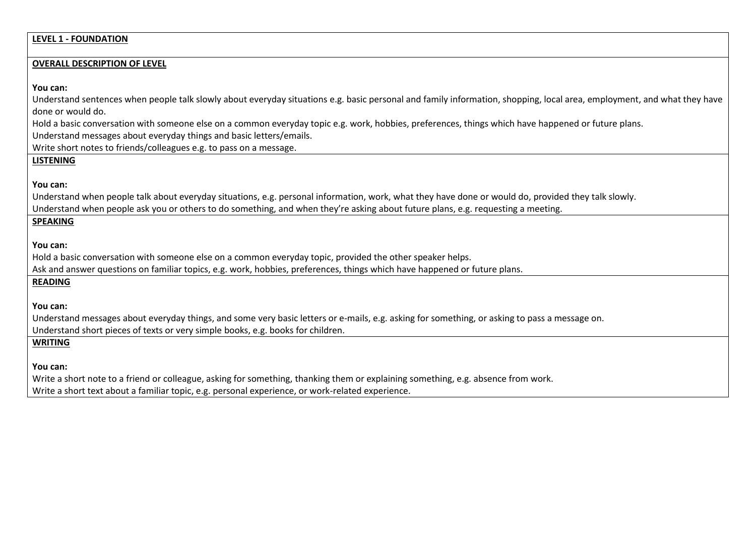## **LEVEL 1 - FOUNDATION**

#### **OVERALL DESCRIPTION OF LEVEL**

**You can:**

Understand sentences when people talk slowly about everyday situations e.g. basic personal and family information, shopping, local area, employment, and what they have done or would do.

Hold a basic conversation with someone else on a common everyday topic e.g. work, hobbies, preferences, things which have happened or future plans.

Understand messages about everyday things and basic letters/emails.

Write short notes to friends/colleagues e.g. to pass on a message.

# **LISTENING**

### **You can:**

Understand when people talk about everyday situations, e.g. personal information, work, what they have done or would do, provided they talk slowly.

Understand when people ask you or others to do something, and when they're asking about future plans, e.g. requesting a meeting.

## **SPEAKING**

### **You can:**

Hold a basic conversation with someone else on a common everyday topic, provided the other speaker helps.

Ask and answer questions on familiar topics, e.g. work, hobbies, preferences, things which have happened or future plans.

## **READING**

**You can:**

Understand messages about everyday things, and some very basic letters or e-mails, e.g. asking for something, or asking to pass a message on. Understand short pieces of texts or very simple books, e.g. books for children.

## **WRITING**

## **You can:**

Write a short note to a friend or colleague, asking for something, thanking them or explaining something, e.g. absence from work. Write a short text about a familiar topic, e.g. personal experience, or work-related experience.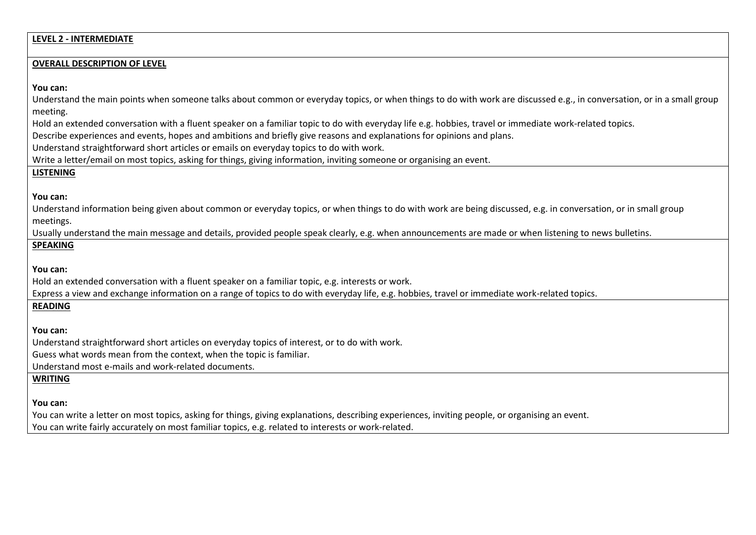| <b>LEVEL 2 - INTERMEDIATE</b>                                                                                                                                                                                                                     |
|---------------------------------------------------------------------------------------------------------------------------------------------------------------------------------------------------------------------------------------------------|
| <b>OVERALL DESCRIPTION OF LEVEL</b>                                                                                                                                                                                                               |
|                                                                                                                                                                                                                                                   |
| You can:                                                                                                                                                                                                                                          |
| Understand the main points when someone talks about common or everyday topics, or when things to do with work are discussed e.g., in conversation, or in a small group                                                                            |
| meeting.                                                                                                                                                                                                                                          |
| Hold an extended conversation with a fluent speaker on a familiar topic to do with everyday life e.g. hobbies, travel or immediate work-related topics.                                                                                           |
| Describe experiences and events, hopes and ambitions and briefly give reasons and explanations for opinions and plans.                                                                                                                            |
| Understand straightforward short articles or emails on everyday topics to do with work.<br>Write a letter/email on most topics, asking for things, giving information, inviting someone or organising an event.                                   |
| <b>LISTENING</b>                                                                                                                                                                                                                                  |
|                                                                                                                                                                                                                                                   |
| You can:                                                                                                                                                                                                                                          |
| Understand information being given about common or everyday topics, or when things to do with work are being discussed, e.g. in conversation, or in small group                                                                                   |
| meetings.                                                                                                                                                                                                                                         |
| Usually understand the main message and details, provided people speak clearly, e.g. when announcements are made or when listening to news bulletins.                                                                                             |
| <b>SPEAKING</b>                                                                                                                                                                                                                                   |
|                                                                                                                                                                                                                                                   |
| You can:                                                                                                                                                                                                                                          |
| Hold an extended conversation with a fluent speaker on a familiar topic, e.g. interests or work.<br>Express a view and exchange information on a range of topics to do with everyday life, e.g. hobbies, travel or immediate work-related topics. |
| <b>READING</b>                                                                                                                                                                                                                                    |
|                                                                                                                                                                                                                                                   |
| You can:                                                                                                                                                                                                                                          |
| Understand straightforward short articles on everyday topics of interest, or to do with work.                                                                                                                                                     |
| Guess what words mean from the context, when the topic is familiar.                                                                                                                                                                               |
| Understand most e-mails and work-related documents.                                                                                                                                                                                               |
| <b>WRITING</b>                                                                                                                                                                                                                                    |
|                                                                                                                                                                                                                                                   |
| You can:                                                                                                                                                                                                                                          |

You can write a letter on most topics, asking for things, giving explanations, describing experiences, inviting people, or organising an event. You can write fairly accurately on most familiar topics, e.g. related to interests or work-related.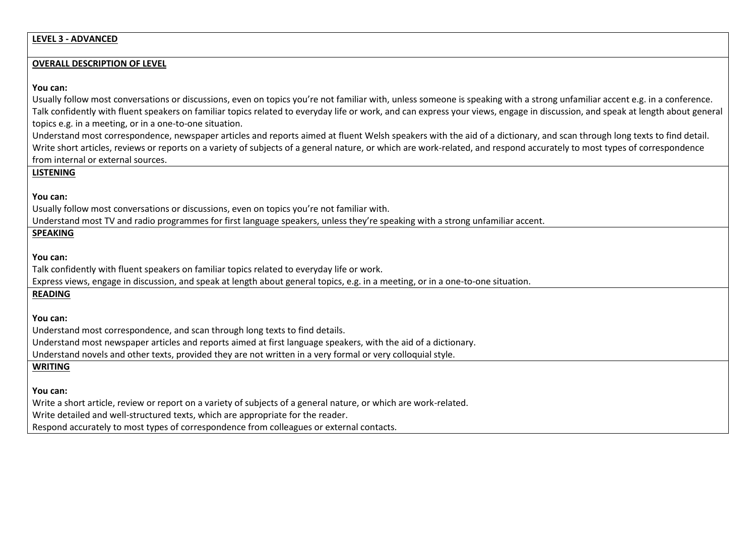# **LEVEL 3 - ADVANCED**

## **OVERALL DESCRIPTION OF LEVEL**

## **You can:**

| Usually follow most conversations or discussions, even on topics you're not familiar with, unless someone is speaking with a strong unfamiliar accent e.g. in a conference.    |
|--------------------------------------------------------------------------------------------------------------------------------------------------------------------------------|
| Talk confidently with fluent speakers on familiar topics related to everyday life or work, and can express your views, engage in discussion, and speak at length about general |
| topics e.g. in a meeting, or in a one-to-one situation.                                                                                                                        |
| Understand most correspondence, newspaper articles and reports aimed at fluent Welsh speakers with the aid of a dictionary, and scan through long texts to find detail.        |
| Write short articles, reviews or reports on a variety of subjects of a general nature, or which are work-related, and respond accurately to most types of correspondence       |
| from internal or external sources.                                                                                                                                             |
| <b>LISTENING</b>                                                                                                                                                               |
|                                                                                                                                                                                |
| You can:                                                                                                                                                                       |
| Usually follow most conversations or discussions, even on topics you're not familiar with.                                                                                     |
| Understand most TV and radio programmes for first language speakers, unless they're speaking with a strong unfamiliar accent.                                                  |
| <b>SPEAKING</b>                                                                                                                                                                |
|                                                                                                                                                                                |
| You can:                                                                                                                                                                       |
| Talk confidently with fluent speakers on familiar topics related to everyday life or work.                                                                                     |
| Express views, engage in discussion, and speak at length about general topics, e.g. in a meeting, or in a one-to-one situation.                                                |
| <b>READING</b>                                                                                                                                                                 |
|                                                                                                                                                                                |
| You can:                                                                                                                                                                       |
| Understand most correspondence, and scan through long texts to find details.                                                                                                   |
| Understand most newspaper articles and reports aimed at first language speakers, with the aid of a dictionary.                                                                 |
| Understand novels and other texts, provided they are not written in a very formal or very colloquial style.                                                                    |
| <b>WRITING</b>                                                                                                                                                                 |
|                                                                                                                                                                                |
| You can:                                                                                                                                                                       |
| Write a short article, review or report on a variety of subjects of a general nature, or which are work-related.                                                               |
| Write detailed and well-structured texts, which are appropriate for the reader.                                                                                                |
| Respond accurately to most types of correspondence from colleagues or external contacts.                                                                                       |